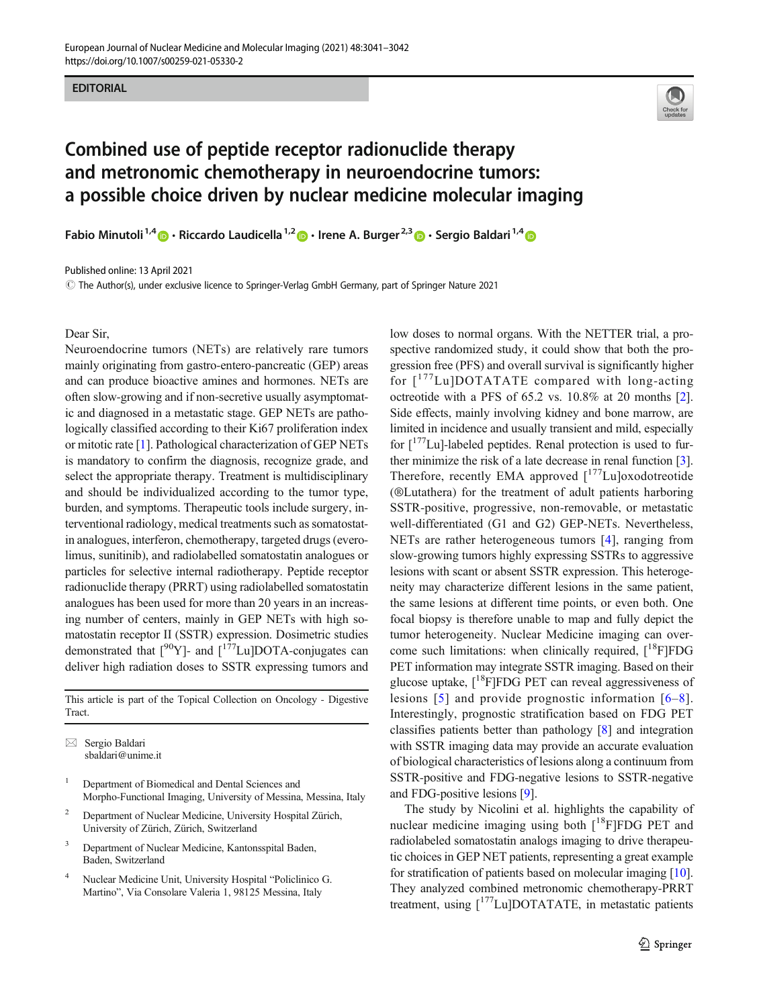#### EDITORIAL



# Combined use of peptide receptor radionuclide therapy and metronomic chemotherapy in neuroendocrine tumors: a possible choice driven by nuclear medicine molecular imaging

Fabio Minutoli<sup>1,4</sup>  $\bullet$  · Riccardo Laudicella<sup>1,2</sup>  $\bullet$  · Irene A. Burger<sup>2,3</sup>  $\bullet$  · Sergio Baldari<sup>1,4</sup>  $\bullet$ 

Published online: 13 April 2021

 $\copyright$  The Author(s), under exclusive licence to Springer-Verlag GmbH Germany, part of Springer Nature 2021

# Dear Sir,

Neuroendocrine tumors (NETs) are relatively rare tumors mainly originating from gastro-entero-pancreatic (GEP) areas and can produce bioactive amines and hormones. NETs are often slow-growing and if non-secretive usually asymptomatic and diagnosed in a metastatic stage. GEP NETs are pathologically classified according to their Ki67 proliferation index or mitotic rate [[1\]](#page-1-0). Pathological characterization of GEP NETs is mandatory to confirm the diagnosis, recognize grade, and select the appropriate therapy. Treatment is multidisciplinary and should be individualized according to the tumor type, burden, and symptoms. Therapeutic tools include surgery, interventional radiology, medical treatments such as somatostatin analogues, interferon, chemotherapy, targeted drugs (everolimus, sunitinib), and radiolabelled somatostatin analogues or particles for selective internal radiotherapy. Peptide receptor radionuclide therapy (PRRT) using radiolabelled somatostatin analogues has been used for more than 20 years in an increasing number of centers, mainly in GEP NETs with high somatostatin receptor II (SSTR) expression. Dosimetric studies demonstrated that  $[{}^{90}Y]$ - and  $[{}^{177}Lu]$ DOTA-conjugates can deliver high radiation doses to SSTR expressing tumors and

This article is part of the Topical Collection on Oncology - Digestive Tract.

 $\boxtimes$  Sergio Baldari [sbaldari@unime.it](mailto:sbaldari@unime.it)

- <sup>1</sup> Department of Biomedical and Dental Sciences and Morpho-Functional Imaging, University of Messina, Messina, Italy
- <sup>2</sup> Department of Nuclear Medicine, University Hospital Zürich, University of Zürich, Zürich, Switzerland
- Department of Nuclear Medicine, Kantonsspital Baden, Baden, Switzerland
- <sup>4</sup> Nuclear Medicine Unit, University Hospital "Policlinico G. Martino", Via Consolare Valeria 1, 98125 Messina, Italy

low doses to normal organs. With the NETTER trial, a prospective randomized study, it could show that both the progression free (PFS) and overall survival is significantly higher for  $\lceil$ <sup>177</sup>Lu]DOTATATE compared with long-acting octreotide with a PFS of 65.2 vs. 10.8% at 20 months [[2\]](#page-1-0). Side effects, mainly involving kidney and bone marrow, are limited in incidence and usually transient and mild, especially for  $\int_1^{177}$ Lu]-labeled peptides. Renal protection is used to further minimize the risk of a late decrease in renal function [[3\]](#page-1-0). Therefore, recently EMA approved  $\int_1^{177}$ Lu]oxodotreotide (®Lutathera) for the treatment of adult patients harboring SSTR-positive, progressive, non-removable, or metastatic well-differentiated (G1 and G2) GEP-NETs. Nevertheless, NETs are rather heterogeneous tumors [[4](#page-1-0)], ranging from slow-growing tumors highly expressing SSTRs to aggressive lesions with scant or absent SSTR expression. This heterogeneity may characterize different lesions in the same patient, the same lesions at different time points, or even both. One focal biopsy is therefore unable to map and fully depict the tumor heterogeneity. Nuclear Medicine imaging can overcome such limitations: when clinically required,  $[18$ F]FDG PET information may integrate SSTR imaging. Based on their glucose uptake,  $\lceil \sqrt[18]{\text{F}} \rceil$ FDG PET can reveal aggressiveness of lesions [[5](#page-1-0)] and provide prognostic information [[6](#page-1-0)–[8](#page-1-0)]. Interestingly, prognostic stratification based on FDG PET classifies patients better than pathology [\[8](#page-1-0)] and integration with SSTR imaging data may provide an accurate evaluation of biological characteristics of lesions along a continuum from SSTR-positive and FDG-negative lesions to SSTR-negative and FDG-positive lesions [\[9](#page-1-0)].

The study by Nicolini et al. highlights the capability of nuclear medicine imaging using both  $[18F]FDG$  PET and radiolabeled somatostatin analogs imaging to drive therapeutic choices in GEP NET patients, representing a great example for stratification of patients based on molecular imaging [[10\]](#page-1-0). They analyzed combined metronomic chemotherapy-PRRT treatment, using  $\int_1^{177}$ Lu]DOTATATE, in metastatic patients